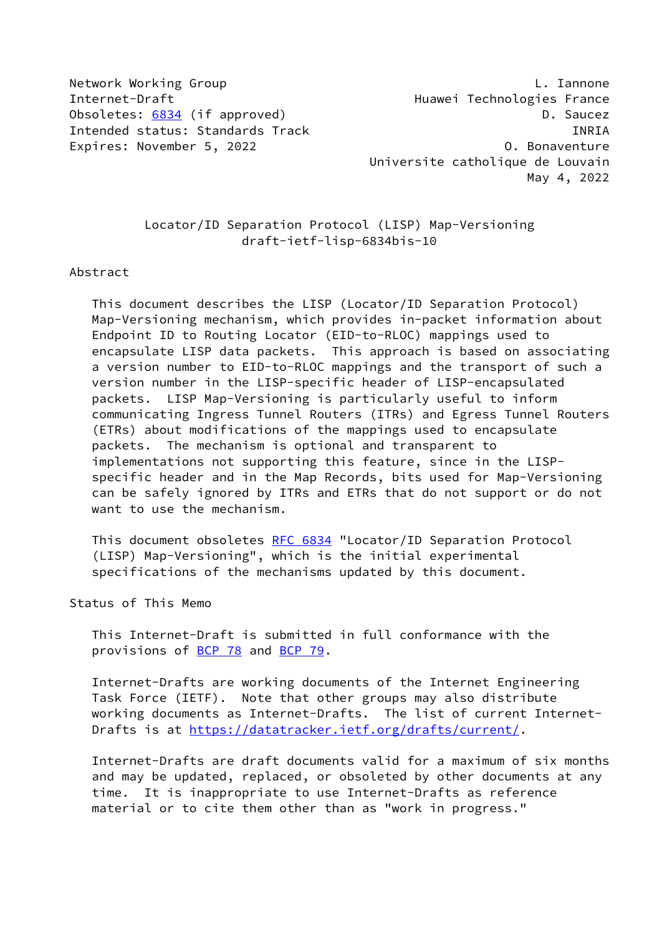Network Working Group **L. Iannone** Internet-Draft **Huawei Technologies France** Obsoletes: [6834](https://datatracker.ietf.org/doc/pdf/rfc6834) (if approved) and the control of the D. Saucez Intended status: Standards Track INRIA Expires: November 5, 2022 and the control of the control of Bonaventure

 Universite catholique de Louvain May 4, 2022

 Locator/ID Separation Protocol (LISP) Map-Versioning draft-ietf-lisp-6834bis-10

#### Abstract

 This document describes the LISP (Locator/ID Separation Protocol) Map-Versioning mechanism, which provides in-packet information about Endpoint ID to Routing Locator (EID-to-RLOC) mappings used to encapsulate LISP data packets. This approach is based on associating a version number to EID-to-RLOC mappings and the transport of such a version number in the LISP-specific header of LISP-encapsulated packets. LISP Map-Versioning is particularly useful to inform communicating Ingress Tunnel Routers (ITRs) and Egress Tunnel Routers (ETRs) about modifications of the mappings used to encapsulate packets. The mechanism is optional and transparent to implementations not supporting this feature, since in the LISP specific header and in the Map Records, bits used for Map-Versioning can be safely ignored by ITRs and ETRs that do not support or do not want to use the mechanism.

 This document obsoletes [RFC 6834](https://datatracker.ietf.org/doc/pdf/rfc6834) "Locator/ID Separation Protocol (LISP) Map-Versioning", which is the initial experimental specifications of the mechanisms updated by this document.

Status of This Memo

 This Internet-Draft is submitted in full conformance with the provisions of <u>BCP 78</u> and **BCP 79.** 

 Internet-Drafts are working documents of the Internet Engineering Task Force (IETF). Note that other groups may also distribute working documents as Internet-Drafts. The list of current Internet- Drafts is at<https://datatracker.ietf.org/drafts/current/>.

 Internet-Drafts are draft documents valid for a maximum of six months and may be updated, replaced, or obsoleted by other documents at any time. It is inappropriate to use Internet-Drafts as reference material or to cite them other than as "work in progress."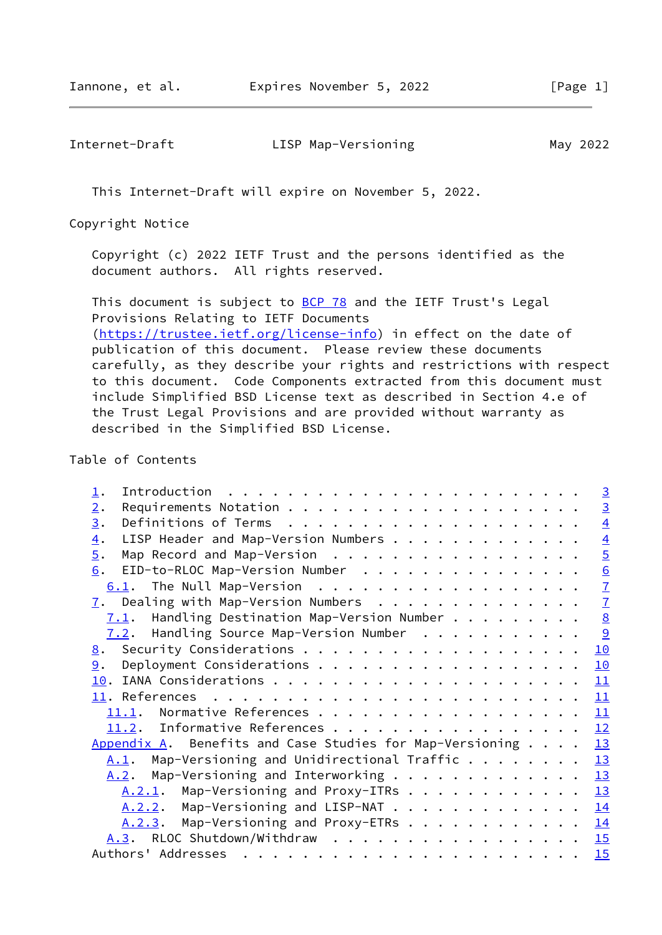Internet-Draft LISP Map-Versioning May 2022

This Internet-Draft will expire on November 5, 2022.

Copyright Notice

 Copyright (c) 2022 IETF Trust and the persons identified as the document authors. All rights reserved.

This document is subject to **[BCP 78](https://datatracker.ietf.org/doc/pdf/bcp78)** and the IETF Trust's Legal Provisions Relating to IETF Documents [\(https://trustee.ietf.org/license-info](https://trustee.ietf.org/license-info)) in effect on the date of publication of this document. Please review these documents carefully, as they describe your rights and restrictions with respect to this document. Code Components extracted from this document must include Simplified BSD License text as described in Section 4.e of the Trust Legal Provisions and are provided without warranty as described in the Simplified BSD License.

# Table of Contents

| $\perp$ .                                                                 | $\overline{3}$  |
|---------------------------------------------------------------------------|-----------------|
| 2.                                                                        | $\overline{3}$  |
| 3.                                                                        | $\overline{4}$  |
| LISP Header and Map-Version Numbers<br>$\overline{4}$ .                   | $\overline{4}$  |
| $\overline{5}$ .<br>Map Record and Map-Version                            | $\overline{5}$  |
| EID-to-RLOC Map-Version Number<br>6.                                      | $\frac{6}{7}$   |
|                                                                           |                 |
| $\overline{1}$ . Dealing with Map-Version Numbers                         | $\overline{1}$  |
| Handling Destination Map-Version Number<br>7.1.                           | $\underline{8}$ |
| $7.2$ . Handling Source Map-Version Number                                | <u>୍ର</u>       |
| <u>8</u> .                                                                | 10              |
| Deployment Considerations<br>9.                                           | 10              |
|                                                                           | 11              |
|                                                                           | 11              |
| 11.1.                                                                     | 11              |
| 11.2. Informative References                                              | 12              |
| Appendix A. Benefits and Case Studies for Map-Versioning $\ldots$ .       | 13              |
| Map-Versioning and Unidirectional Traffic $\dots$ $\dots$ $\dots$<br>A.1. | 13              |
| Map-Versioning and Interworking<br>A.2.                                   | 13              |
| A.2.1. Map-Versioning and Proxy-ITRs                                      | 13              |
| A.2.2. Map-Versioning and LISP-NAT                                        | 14              |
| A.2.3. Map-Versioning and Proxy-ETRs                                      | 14              |
| A.3. RLOC Shutdown/Withdraw                                               | 15              |
|                                                                           | 15              |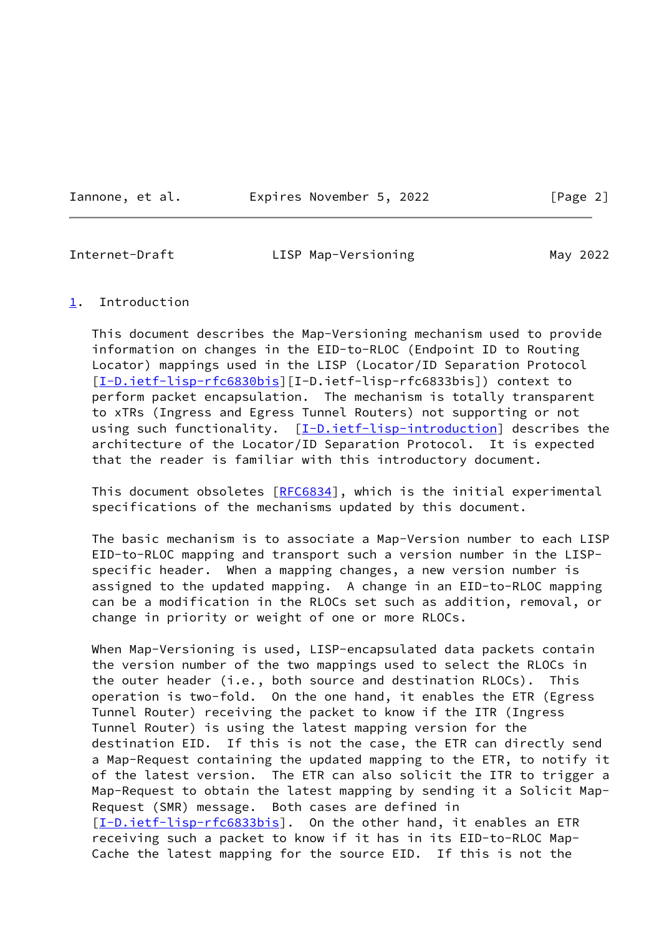Iannone, et al. **Expires November 5, 2022** [Page 2]

<span id="page-2-1"></span>

Internet-Draft **LISP Map-Versioning** May 2022

### <span id="page-2-0"></span>[1](#page-2-0). Introduction

 This document describes the Map-Versioning mechanism used to provide information on changes in the EID-to-RLOC (Endpoint ID to Routing Locator) mappings used in the LISP (Locator/ID Separation Protocol [\[I-D.ietf-lisp-rfc6830bis](#page-12-5)][I-D.ietf-lisp-rfc6833bis]) context to perform packet encapsulation. The mechanism is totally transparent to xTRs (Ingress and Egress Tunnel Routers) not supporting or not using such functionality. [[I-D.ietf-lisp-introduction\]](#page-12-6) describes the architecture of the Locator/ID Separation Protocol. It is expected that the reader is familiar with this introductory document.

This document obsoletes [\[RFC6834](https://datatracker.ietf.org/doc/pdf/rfc6834)], which is the initial experimental specifications of the mechanisms updated by this document.

 The basic mechanism is to associate a Map-Version number to each LISP EID-to-RLOC mapping and transport such a version number in the LISP specific header. When a mapping changes, a new version number is assigned to the updated mapping. A change in an EID-to-RLOC mapping can be a modification in the RLOCs set such as addition, removal, or change in priority or weight of one or more RLOCs.

 When Map-Versioning is used, LISP-encapsulated data packets contain the version number of the two mappings used to select the RLOCs in the outer header (i.e., both source and destination RLOCs). This operation is two-fold. On the one hand, it enables the ETR (Egress Tunnel Router) receiving the packet to know if the ITR (Ingress Tunnel Router) is using the latest mapping version for the destination EID. If this is not the case, the ETR can directly send a Map-Request containing the updated mapping to the ETR, to notify it of the latest version. The ETR can also solicit the ITR to trigger a Map-Request to obtain the latest mapping by sending it a Solicit Map- Request (SMR) message. Both cases are defined in [\[I-D.ietf-lisp-rfc6833bis](#page-12-7)]. On the other hand, it enables an ETR receiving such a packet to know if it has in its EID-to-RLOC Map- Cache the latest mapping for the source EID. If this is not the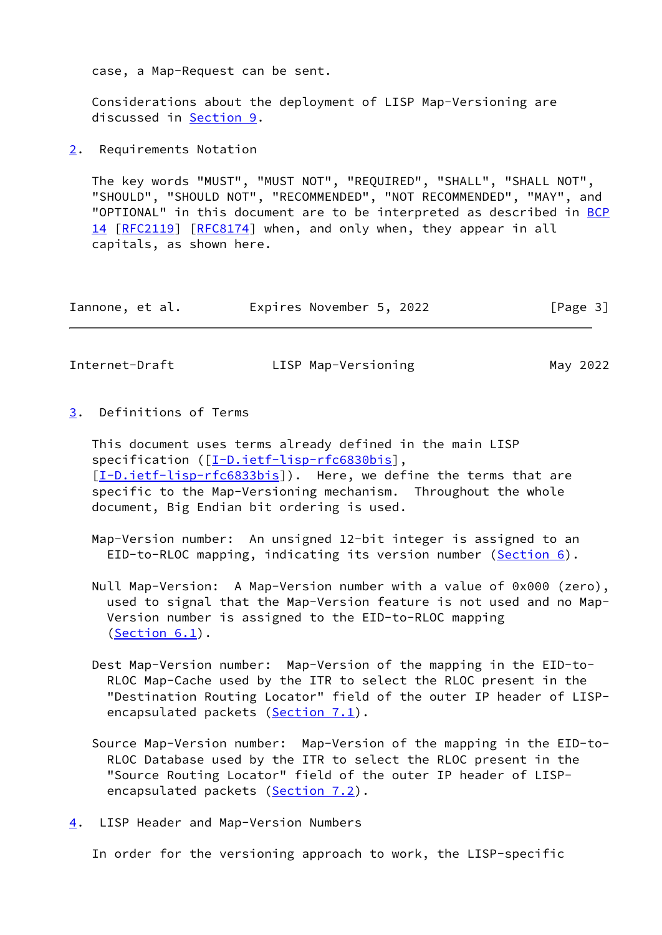case, a Map-Request can be sent.

 Considerations about the deployment of LISP Map-Versioning are discussed in [Section 9](#page-10-2).

<span id="page-3-0"></span>[2](#page-3-0). Requirements Notation

 The key words "MUST", "MUST NOT", "REQUIRED", "SHALL", "SHALL NOT", "SHOULD", "SHOULD NOT", "RECOMMENDED", "NOT RECOMMENDED", "MAY", and "OPTIONAL" in this document are to be interpreted as described in [BCP](https://datatracker.ietf.org/doc/pdf/bcp14) [14](https://datatracker.ietf.org/doc/pdf/bcp14) [[RFC2119\]](https://datatracker.ietf.org/doc/pdf/rfc2119) [\[RFC8174](https://datatracker.ietf.org/doc/pdf/rfc8174)] when, and only when, they appear in all capitals, as shown here.

| Iannone, et al. | Expires November 5, 2022 |  | [Page 3] |
|-----------------|--------------------------|--|----------|
|-----------------|--------------------------|--|----------|

<span id="page-3-2"></span>Internet-Draft LISP Map-Versioning May 2022

<span id="page-3-1"></span>[3](#page-3-1). Definitions of Terms

 This document uses terms already defined in the main LISP specification ([\[I-D.ietf-lisp-rfc6830bis](#page-12-5)], [\[I-D.ietf-lisp-rfc6833bis](#page-12-7)]). Here, we define the terms that are specific to the Map-Versioning mechanism. Throughout the whole document, Big Endian bit ordering is used.

 Map-Version number: An unsigned 12-bit integer is assigned to an EID-to-RLOC mapping, indicating its version number [\(Section 6\)](#page-5-0).

- Null Map-Version: A Map-Version number with a value of 0x000 (zero), used to signal that the Map-Version feature is not used and no Map- Version number is assigned to the EID-to-RLOC mapping ([Section 6.1](#page-6-0)).
- Dest Map-Version number: Map-Version of the mapping in the EID-to- RLOC Map-Cache used by the ITR to select the RLOC present in the "Destination Routing Locator" field of the outer IP header of LISP- encapsulated packets [\(Section 7.1](#page-8-0)).
- Source Map-Version number: Map-Version of the mapping in the EID-to- RLOC Database used by the ITR to select the RLOC present in the "Source Routing Locator" field of the outer IP header of LISP- encapsulated packets [\(Section 7.2](#page-9-0)).
- <span id="page-3-3"></span>[4](#page-3-3). LISP Header and Map-Version Numbers

In order for the versioning approach to work, the LISP-specific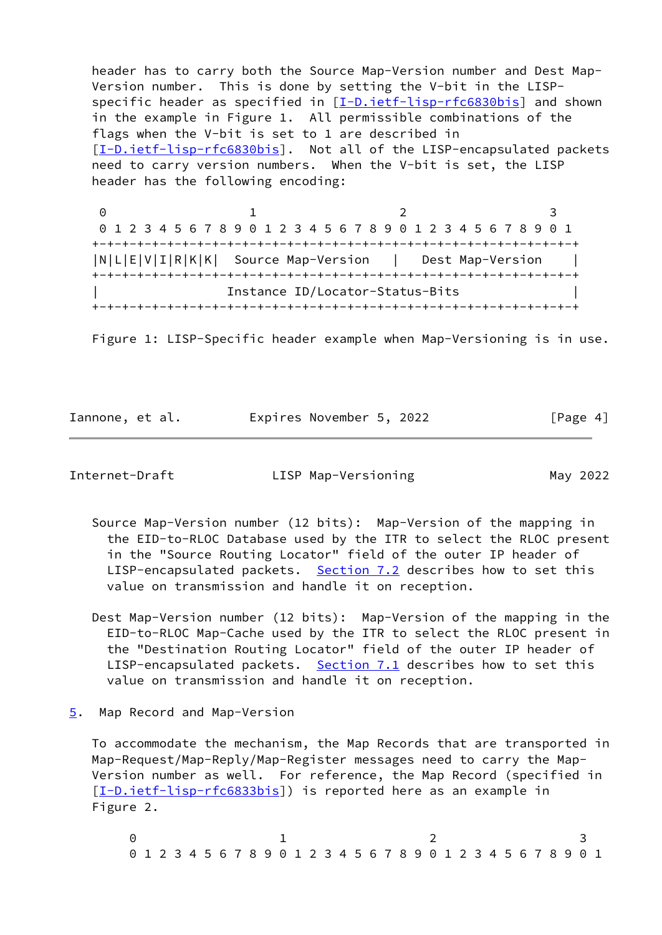header has to carry both the Source Map-Version number and Dest Map- Version number. This is done by setting the V-bit in the LISP- specific header as specified in [\[I-D.ietf-lisp-rfc6830bis](#page-12-5)] and shown in the example in Figure 1. All permissible combinations of the flags when the V-bit is set to 1 are described in [\[I-D.ietf-lisp-rfc6830bis](#page-12-5)]. Not all of the LISP-encapsulated packets need to carry version numbers. When the V-bit is set, the LISP header has the following encoding:

0 1 2 3 0 1 2 3 4 5 6 7 8 9 0 1 2 3 4 5 6 7 8 9 0 1 2 3 4 5 6 7 8 9 0 1 +-+-+-+-+-+-+-+-+-+-+-+-+-+-+-+-+-+-+-+-+-+-+-+-+-+-+-+-+-+-+-+-+ |N|L|E|V|I|R|K|K| Source Map-Version | Dest Map-Version | +-+-+-+-+-+-+-+-+-+-+-+-+-+-+-+-+-+-+-+-+-+-+-+-+-+-+-+-+-+-+-+-+ | Instance ID/Locator-Status-Bits | +-+-+-+-+-+-+-+-+-+-+-+-+-+-+-+-+-+-+-+-+-+-+-+-+-+-+-+-+-+-+-+-+

Figure 1: LISP-Specific header example when Map-Versioning is in use.

Iannone, et al. Expires November 5, 2022 [Page 4]

<span id="page-4-1"></span>Internet-Draft LISP Map-Versioning May 2022

- Source Map-Version number (12 bits): Map-Version of the mapping in the EID-to-RLOC Database used by the ITR to select the RLOC present in the "Source Routing Locator" field of the outer IP header of LISP-encapsulated packets. [Section 7.2](#page-9-0) describes how to set this value on transmission and handle it on reception.
- Dest Map-Version number (12 bits): Map-Version of the mapping in the EID-to-RLOC Map-Cache used by the ITR to select the RLOC present in the "Destination Routing Locator" field of the outer IP header of LISP-encapsulated packets. [Section 7.1](#page-8-0) describes how to set this value on transmission and handle it on reception.
- <span id="page-4-0"></span>[5](#page-4-0). Map Record and Map-Version

 To accommodate the mechanism, the Map Records that are transported in Map-Request/Map-Reply/Map-Register messages need to carry the Map- Version number as well. For reference, the Map Record (specified in [\[I-D.ietf-lisp-rfc6833bis](#page-12-7)]) is reported here as an example in Figure 2.

 $0$  1 2 3 0 1 2 3 4 5 6 7 8 9 0 1 2 3 4 5 6 7 8 9 0 1 2 3 4 5 6 7 8 9 0 1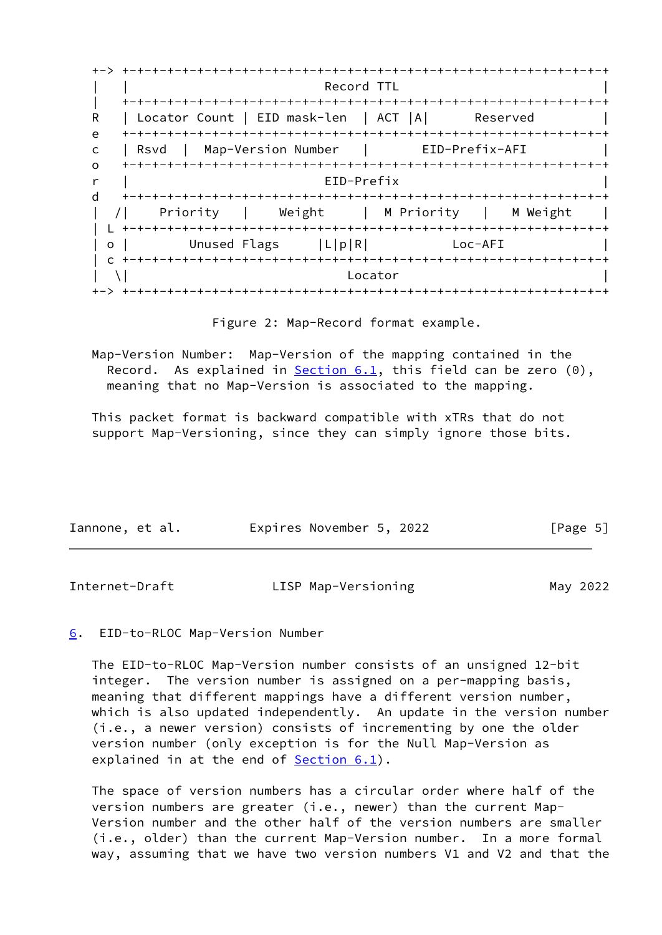+-> +-+-+-+-+-+-+-+-+-+-+-+-+-+-+-+-+-+-+-+-+-+-+-+-+-+-+-+-+-+-+-+-+ | | Record TTL | | +-+-+-+-+-+-+-+-+-+-+-+-+-+-+-+-+-+-+-+-+-+-+-+-+-+-+-+-+-+-+-+-+ R | Locator Count | EID mask-len | ACT |A| Reserved e +-+-+-+-+-+-+-+-+-+-+-+-+-+-+-+-+-+-+-+-+-+-+-+-+-+-+-+-+-+-+-+-+ c | Rsvd | Map-Version Number | EID-Prefix-AFI | o +-+-+-+-+-+-+-+-+-+-+-+-+-+-+-+-+-+-+-+-+-+-+-+-+-+-+-+-+-+-+-+-+ r | EID-Prefix | d +-+-+-+-+-+-+-+-+-+-+-+-+-+-+-+-+-+-+-+-+-+-+-+-+-+-+-+-+-+-+-+-+ | /| Priority | Weight | M Priority | M Weight | | L +-+-+-+-+-+-+-+-+-+-+-+-+-+-+-+-+-+-+-+-+-+-+-+-+-+-+-+-+-+-+-+-+ | o | Unused Flags | L|p|R| Loc-AFI | c +-+-+-+-+-+-+-+-+-+-+-+-+-+-+-+-+-+-+-+-+-+-+-+-+-+-+-+-+-+-+-+-+  $|\n\begin{array}{ccc} \set{\end{array}}\n\begin{array}{ccc} \set{\end{array}}\n\end{array}$ +-> +-+-+-+-+-+-+-+-+-+-+-+-+-+-+-+-+-+-+-+-+-+-+-+-+-+-+-+-+-+-+-+-+

Figure 2: Map-Record format example.

 Map-Version Number: Map-Version of the mapping contained in the Record. As explained in Section  $6.1$ , this field can be zero  $(0)$ , meaning that no Map-Version is associated to the mapping.

 This packet format is backward compatible with xTRs that do not support Map-Versioning, since they can simply ignore those bits.

| Iannone, et al. | Expires November 5, 2022 | [Page 5] |
|-----------------|--------------------------|----------|
|-----------------|--------------------------|----------|

<span id="page-5-1"></span>

| Internet-Draft | LISP Map-Versioning | May 2022 |
|----------------|---------------------|----------|
|----------------|---------------------|----------|

## <span id="page-5-0"></span>[6](#page-5-0). EID-to-RLOC Map-Version Number

 The EID-to-RLOC Map-Version number consists of an unsigned 12-bit integer. The version number is assigned on a per-mapping basis, meaning that different mappings have a different version number, which is also updated independently. An update in the version number (i.e., a newer version) consists of incrementing by one the older version number (only exception is for the Null Map-Version as explained in at the end of **[Section 6.1](#page-6-0)**).

 The space of version numbers has a circular order where half of the version numbers are greater (i.e., newer) than the current Map- Version number and the other half of the version numbers are smaller (i.e., older) than the current Map-Version number. In a more formal way, assuming that we have two version numbers V1 and V2 and that the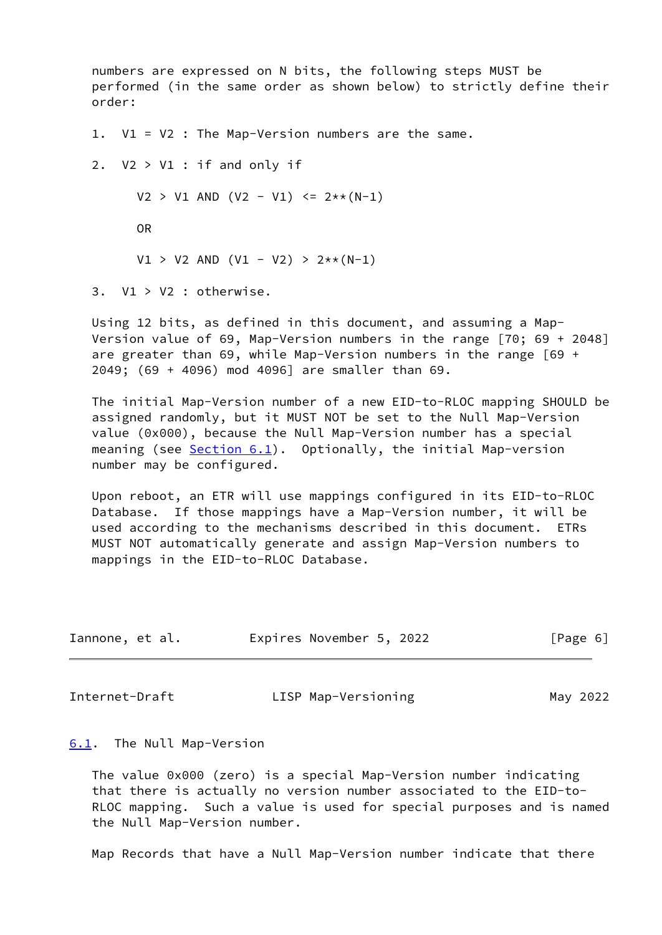numbers are expressed on N bits, the following steps MUST be performed (in the same order as shown below) to strictly define their order:

1. V1 = V2 : The Map-Version numbers are the same.

2.  $V2 > V1$ : if and only if  $V2 > V1$  AND  $(V2 - V1) \le 2** (N-1)$  OR  $V1 > V2$  AND  $(V1 - V2) > 2** (N-1)$ 

3. V1 > V2 : otherwise.

 Using 12 bits, as defined in this document, and assuming a Map- Version value of 69, Map-Version numbers in the range [70; 69 + 2048] are greater than 69, while Map-Version numbers in the range  $\lceil 69 \rangle +$ 2049; (69 + 4096) mod 4096] are smaller than 69.

 The initial Map-Version number of a new EID-to-RLOC mapping SHOULD be assigned randomly, but it MUST NOT be set to the Null Map-Version value (0x000), because the Null Map-Version number has a special meaning (see [Section 6.1](#page-6-0)). Optionally, the initial Map-version number may be configured.

 Upon reboot, an ETR will use mappings configured in its EID-to-RLOC Database. If those mappings have a Map-Version number, it will be used according to the mechanisms described in this document. ETRs MUST NOT automatically generate and assign Map-Version numbers to mappings in the EID-to-RLOC Database.

| Iannone, et al. | Expires November 5, 2022 | [Page 6] |
|-----------------|--------------------------|----------|
|-----------------|--------------------------|----------|

<span id="page-6-1"></span>Internet-Draft LISP Map-Versioning May 2022

#### <span id="page-6-0"></span>[6.1](#page-6-0). The Null Map-Version

 The value 0x000 (zero) is a special Map-Version number indicating that there is actually no version number associated to the EID-to- RLOC mapping. Such a value is used for special purposes and is named the Null Map-Version number.

Map Records that have a Null Map-Version number indicate that there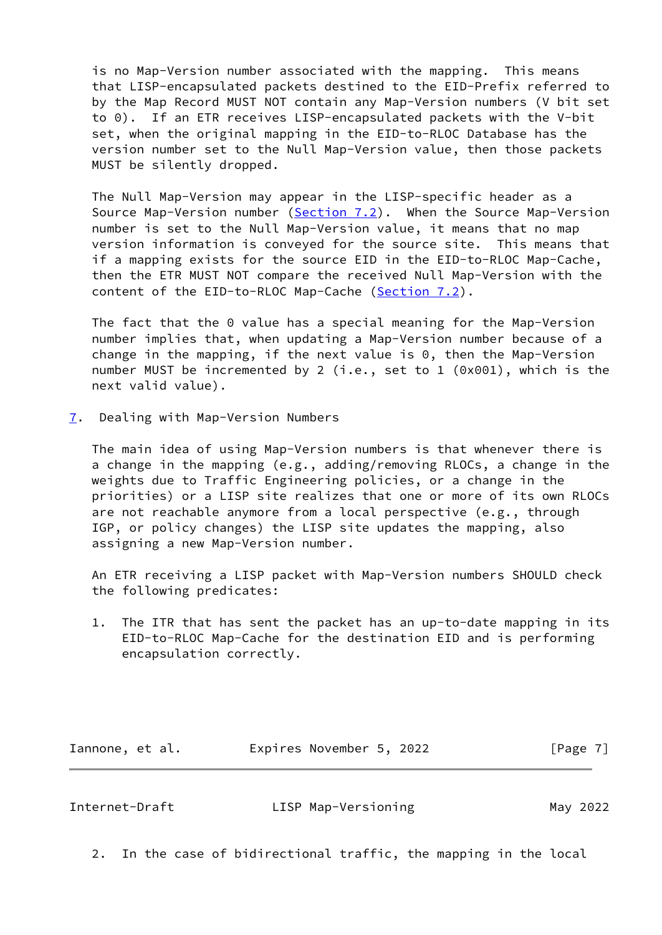is no Map-Version number associated with the mapping. This means that LISP-encapsulated packets destined to the EID-Prefix referred to by the Map Record MUST NOT contain any Map-Version numbers (V bit set to 0). If an ETR receives LISP-encapsulated packets with the V-bit set, when the original mapping in the EID-to-RLOC Database has the version number set to the Null Map-Version value, then those packets MUST be silently dropped.

 The Null Map-Version may appear in the LISP-specific header as a Source Map-Version number ([Section 7.2](#page-9-0)). When the Source Map-Version number is set to the Null Map-Version value, it means that no map version information is conveyed for the source site. This means that if a mapping exists for the source EID in the EID-to-RLOC Map-Cache, then the ETR MUST NOT compare the received Null Map-Version with the content of the EID-to-RLOC Map-Cache [\(Section 7.2](#page-9-0)).

 The fact that the 0 value has a special meaning for the Map-Version number implies that, when updating a Map-Version number because of a change in the mapping, if the next value is 0, then the Map-Version number MUST be incremented by 2 (i.e., set to 1 (0x001), which is the next valid value).

<span id="page-7-0"></span>[7](#page-7-0). Dealing with Map-Version Numbers

 The main idea of using Map-Version numbers is that whenever there is a change in the mapping (e.g., adding/removing RLOCs, a change in the weights due to Traffic Engineering policies, or a change in the priorities) or a LISP site realizes that one or more of its own RLOCs are not reachable anymore from a local perspective (e.g., through IGP, or policy changes) the LISP site updates the mapping, also assigning a new Map-Version number.

 An ETR receiving a LISP packet with Map-Version numbers SHOULD check the following predicates:

 1. The ITR that has sent the packet has an up-to-date mapping in its EID-to-RLOC Map-Cache for the destination EID and is performing encapsulation correctly.

Iannone, et al. **Expires November 5, 2022** [Page 7]

<span id="page-7-1"></span>Internet-Draft LISP Map-Versioning May 2022

2. In the case of bidirectional traffic, the mapping in the local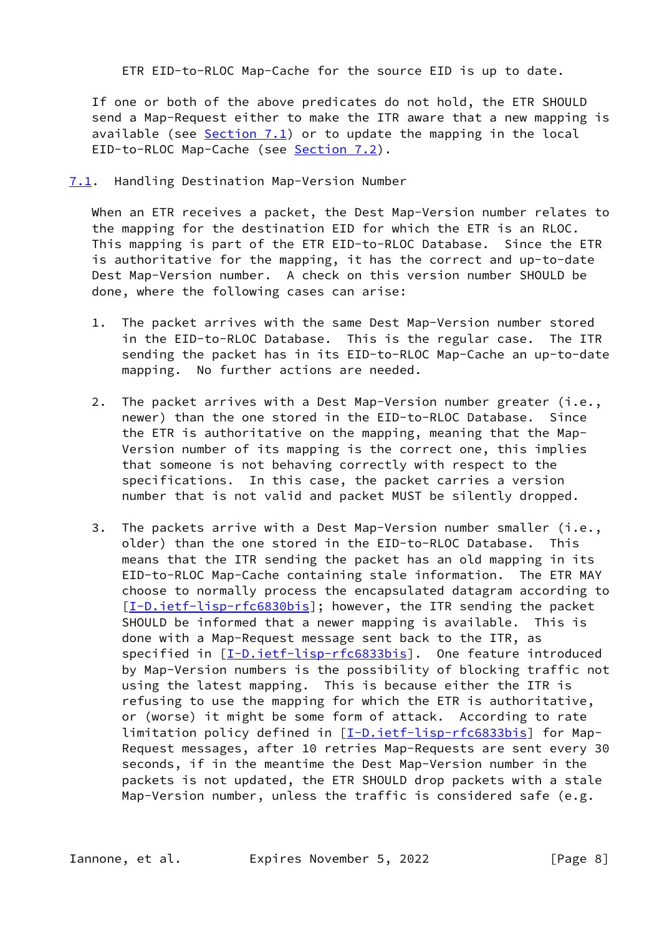ETR EID-to-RLOC Map-Cache for the source EID is up to date.

 If one or both of the above predicates do not hold, the ETR SHOULD send a Map-Request either to make the ITR aware that a new mapping is available (see  $Section 7.1$ ) or to update the mapping in the local EID-to-RLOC Map-Cache (see [Section 7.2](#page-9-0)).

<span id="page-8-0"></span>[7.1](#page-8-0). Handling Destination Map-Version Number

 When an ETR receives a packet, the Dest Map-Version number relates to the mapping for the destination EID for which the ETR is an RLOC. This mapping is part of the ETR EID-to-RLOC Database. Since the ETR is authoritative for the mapping, it has the correct and up-to-date Dest Map-Version number. A check on this version number SHOULD be done, where the following cases can arise:

- 1. The packet arrives with the same Dest Map-Version number stored in the EID-to-RLOC Database. This is the regular case. The ITR sending the packet has in its EID-to-RLOC Map-Cache an up-to-date mapping. No further actions are needed.
- 2. The packet arrives with a Dest Map-Version number greater (i.e., newer) than the one stored in the EID-to-RLOC Database. Since the ETR is authoritative on the mapping, meaning that the Map- Version number of its mapping is the correct one, this implies that someone is not behaving correctly with respect to the specifications. In this case, the packet carries a version number that is not valid and packet MUST be silently dropped.
- 3. The packets arrive with a Dest Map-Version number smaller (i.e., older) than the one stored in the EID-to-RLOC Database. This means that the ITR sending the packet has an old mapping in its EID-to-RLOC Map-Cache containing stale information. The ETR MAY choose to normally process the encapsulated datagram according to [\[I-D.ietf-lisp-rfc6830bis](#page-12-5)]; however, the ITR sending the packet SHOULD be informed that a newer mapping is available. This is done with a Map-Request message sent back to the ITR, as specified in [\[I-D.ietf-lisp-rfc6833bis](#page-12-7)]. One feature introduced by Map-Version numbers is the possibility of blocking traffic not using the latest mapping. This is because either the ITR is refusing to use the mapping for which the ETR is authoritative, or (worse) it might be some form of attack. According to rate limitation policy defined in [\[I-D.ietf-lisp-rfc6833bis](#page-12-7)] for Map- Request messages, after 10 retries Map-Requests are sent every 30 seconds, if in the meantime the Dest Map-Version number in the packets is not updated, the ETR SHOULD drop packets with a stale Map-Version number, unless the traffic is considered safe (e.g.

Iannone, et al. **Expires November 5, 2022** [Page 8]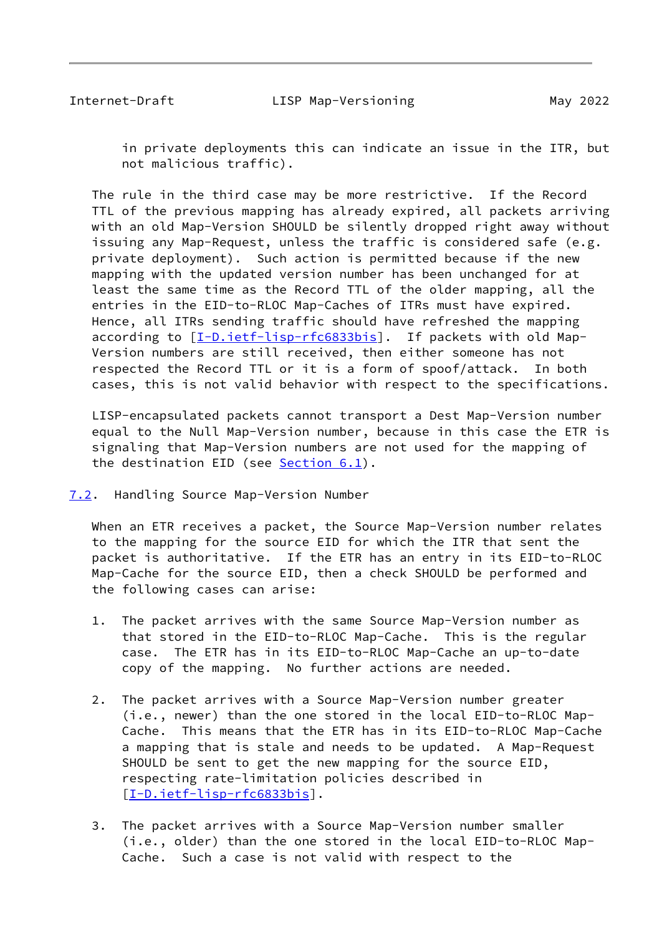<span id="page-9-1"></span> in private deployments this can indicate an issue in the ITR, but not malicious traffic).

 The rule in the third case may be more restrictive. If the Record TTL of the previous mapping has already expired, all packets arriving with an old Map-Version SHOULD be silently dropped right away without issuing any Map-Request, unless the traffic is considered safe (e.g. private deployment). Such action is permitted because if the new mapping with the updated version number has been unchanged for at least the same time as the Record TTL of the older mapping, all the entries in the EID-to-RLOC Map-Caches of ITRs must have expired. Hence, all ITRs sending traffic should have refreshed the mapping according to  $[\underline{I-D.iett-llsp-rfc6833bis}]$ . If packets with old Map- Version numbers are still received, then either someone has not respected the Record TTL or it is a form of spoof/attack. In both cases, this is not valid behavior with respect to the specifications.

 LISP-encapsulated packets cannot transport a Dest Map-Version number equal to the Null Map-Version number, because in this case the ETR is signaling that Map-Version numbers are not used for the mapping of the destination EID (see [Section 6.1](#page-6-0)).

<span id="page-9-0"></span>[7.2](#page-9-0). Handling Source Map-Version Number

 When an ETR receives a packet, the Source Map-Version number relates to the mapping for the source EID for which the ITR that sent the packet is authoritative. If the ETR has an entry in its EID-to-RLOC Map-Cache for the source EID, then a check SHOULD be performed and the following cases can arise:

- 1. The packet arrives with the same Source Map-Version number as that stored in the EID-to-RLOC Map-Cache. This is the regular case. The ETR has in its EID-to-RLOC Map-Cache an up-to-date copy of the mapping. No further actions are needed.
- 2. The packet arrives with a Source Map-Version number greater (i.e., newer) than the one stored in the local EID-to-RLOC Map- Cache. This means that the ETR has in its EID-to-RLOC Map-Cache a mapping that is stale and needs to be updated. A Map-Request SHOULD be sent to get the new mapping for the source EID, respecting rate-limitation policies described in [\[I-D.ietf-lisp-rfc6833bis](#page-12-7)].
- 3. The packet arrives with a Source Map-Version number smaller (i.e., older) than the one stored in the local EID-to-RLOC Map- Cache. Such a case is not valid with respect to the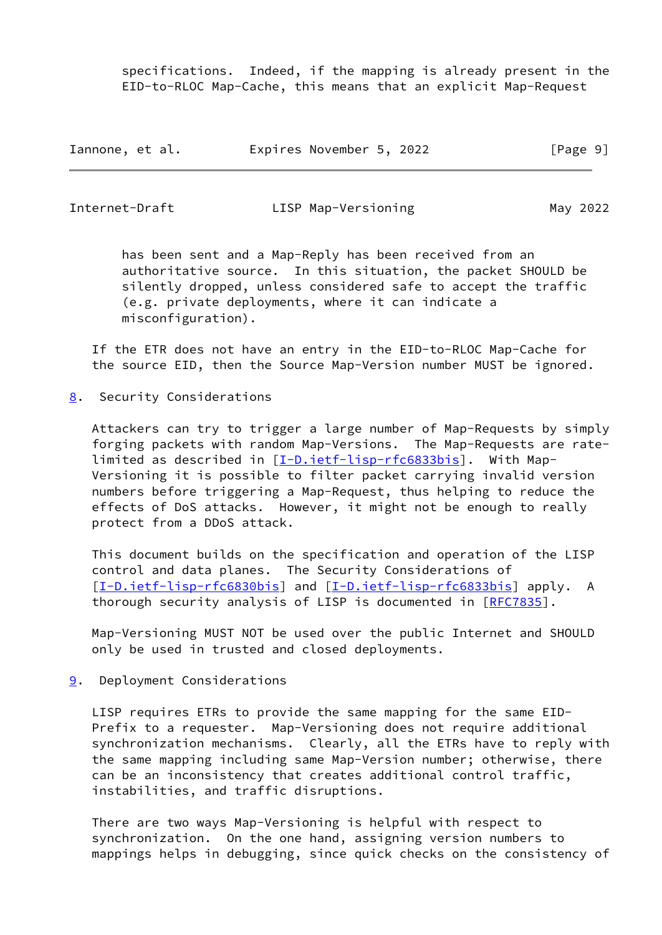specifications. Indeed, if the mapping is already present in the EID-to-RLOC Map-Cache, this means that an explicit Map-Request

| Iannone, et al. |  | Expires November 5, 2022 |  |  | [Page 9] |  |  |
|-----------------|--|--------------------------|--|--|----------|--|--|
|-----------------|--|--------------------------|--|--|----------|--|--|

<span id="page-10-1"></span>

Internet-Draft LISP Map-Versioning May 2022

 has been sent and a Map-Reply has been received from an authoritative source. In this situation, the packet SHOULD be silently dropped, unless considered safe to accept the traffic (e.g. private deployments, where it can indicate a misconfiguration).

 If the ETR does not have an entry in the EID-to-RLOC Map-Cache for the source EID, then the Source Map-Version number MUST be ignored.

<span id="page-10-0"></span>[8](#page-10-0). Security Considerations

 Attackers can try to trigger a large number of Map-Requests by simply forging packets with random Map-Versions. The Map-Requests are rate- limited as described in [\[I-D.ietf-lisp-rfc6833bis](#page-12-7)]. With Map- Versioning it is possible to filter packet carrying invalid version numbers before triggering a Map-Request, thus helping to reduce the effects of DoS attacks. However, it might not be enough to really protect from a DDoS attack.

 This document builds on the specification and operation of the LISP control and data planes. The Security Considerations of [\[I-D.ietf-lisp-rfc6830bis](#page-12-5)] and [\[I-D.ietf-lisp-rfc6833bis](#page-12-7)] apply. A thorough security analysis of LISP is documented in [\[RFC7835](https://datatracker.ietf.org/doc/pdf/rfc7835)].

 Map-Versioning MUST NOT be used over the public Internet and SHOULD only be used in trusted and closed deployments.

<span id="page-10-2"></span>[9](#page-10-2). Deployment Considerations

 LISP requires ETRs to provide the same mapping for the same EID- Prefix to a requester. Map-Versioning does not require additional synchronization mechanisms. Clearly, all the ETRs have to reply with the same mapping including same Map-Version number; otherwise, there can be an inconsistency that creates additional control traffic, instabilities, and traffic disruptions.

 There are two ways Map-Versioning is helpful with respect to synchronization. On the one hand, assigning version numbers to mappings helps in debugging, since quick checks on the consistency of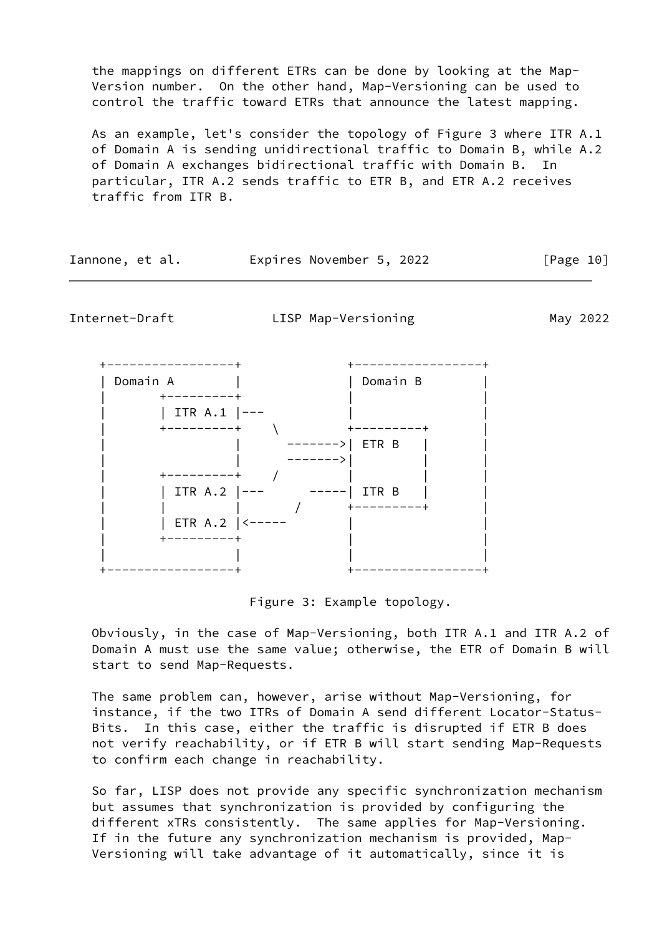the mappings on different ETRs can be done by looking at the Map- Version number. On the other hand, Map-Versioning can be used to control the traffic toward ETRs that announce the latest mapping.

 As an example, let's consider the topology of Figure 3 where ITR A.1 of Domain A is sending unidirectional traffic to Domain B, while A.2 of Domain A exchanges bidirectional traffic with Domain B. In particular, ITR A.2 sends traffic to ETR B, and ETR A.2 receives traffic from ITR B.

| Iannone, et al. | Expires November 5, 2022 |  | [Page 10] |
|-----------------|--------------------------|--|-----------|
|-----------------|--------------------------|--|-----------|

<span id="page-11-0"></span>Internet-Draft LISP Map-Versioning May 2022

 +-----------------+ +-----------------+ | Domain A | | Domain B |  $+ - - - - - - - - +$ | ITR A.1 |---<br>+--------+ \ +---------+ | +---------+ \ +---------+ | ------->| ETR B | | ------->| | | | +---------+ / | | | | | ITR A.2 |--- -----| ITR B | | | | | / +---------+ | | ETR A.2 |<----- | +---------+ | | | | | | +-----------------+ +-----------------+

Figure 3: Example topology.

 Obviously, in the case of Map-Versioning, both ITR A.1 and ITR A.2 of Domain A must use the same value; otherwise, the ETR of Domain B will start to send Map-Requests.

 The same problem can, however, arise without Map-Versioning, for instance, if the two ITRs of Domain A send different Locator-Status- Bits. In this case, either the traffic is disrupted if ETR B does not verify reachability, or if ETR B will start sending Map-Requests to confirm each change in reachability.

 So far, LISP does not provide any specific synchronization mechanism but assumes that synchronization is provided by configuring the different xTRs consistently. The same applies for Map-Versioning. If in the future any synchronization mechanism is provided, Map- Versioning will take advantage of it automatically, since it is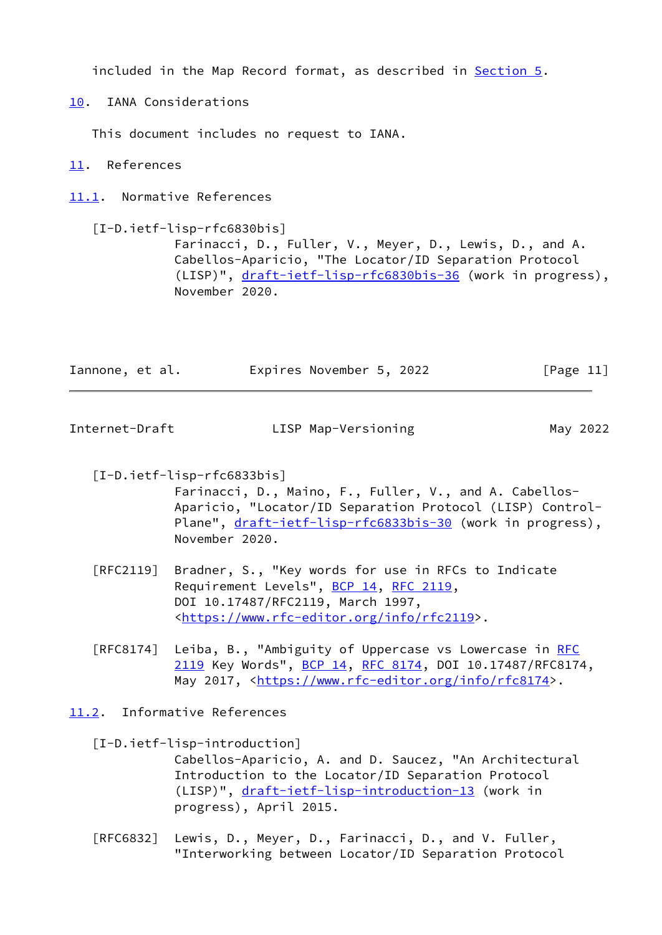included in the Map Record format, as described in [Section 5.](#page-4-0)

<span id="page-12-0"></span>[10.](#page-12-0) IANA Considerations

This document includes no request to IANA.

<span id="page-12-1"></span>[11.](#page-12-1) References

<span id="page-12-2"></span>[11.1](#page-12-2). Normative References

<span id="page-12-5"></span> [I-D.ietf-lisp-rfc6830bis] Farinacci, D., Fuller, V., Meyer, D., Lewis, D., and A. Cabellos-Aparicio, "The Locator/ID Separation Protocol (LISP)", [draft-ietf-lisp-rfc6830bis-36](https://datatracker.ietf.org/doc/pdf/draft-ietf-lisp-rfc6830bis-36) (work in progress), November 2020.

| Iannone, et al. | Expires November 5, 2022 | [Page 11] |
|-----------------|--------------------------|-----------|
|                 |                          |           |

<span id="page-12-4"></span>Internet-Draft LISP Map-Versioning May 2022

<span id="page-12-7"></span>[I-D.ietf-lisp-rfc6833bis]

 Farinacci, D., Maino, F., Fuller, V., and A. Cabellos- Aparicio, "Locator/ID Separation Protocol (LISP) Control Plane", [draft-ietf-lisp-rfc6833bis-30](https://datatracker.ietf.org/doc/pdf/draft-ietf-lisp-rfc6833bis-30) (work in progress), November 2020.

- [RFC2119] Bradner, S., "Key words for use in RFCs to Indicate Requirement Levels", [BCP 14](https://datatracker.ietf.org/doc/pdf/bcp14), [RFC 2119](https://datatracker.ietf.org/doc/pdf/rfc2119), DOI 10.17487/RFC2119, March 1997, <[https://www.rfc-editor.org/info/rfc2119>](https://www.rfc-editor.org/info/rfc2119).
- [RFC8174] Leiba, B., "Ambiguity of Uppercase vs Lowercase in [RFC](https://datatracker.ietf.org/doc/pdf/rfc2119) [2119](https://datatracker.ietf.org/doc/pdf/rfc2119) Key Words", [BCP 14](https://datatracker.ietf.org/doc/pdf/bcp14), [RFC 8174,](https://datatracker.ietf.org/doc/pdf/rfc8174) DOI 10.17487/RFC8174, May 2017, [<https://www.rfc-editor.org/info/rfc8174](https://www.rfc-editor.org/info/rfc8174)>.

<span id="page-12-3"></span>[11.2](#page-12-3). Informative References

<span id="page-12-6"></span> [I-D.ietf-lisp-introduction] Cabellos-Aparicio, A. and D. Saucez, "An Architectural Introduction to the Locator/ID Separation Protocol (LISP)", [draft-ietf-lisp-introduction-13](https://datatracker.ietf.org/doc/pdf/draft-ietf-lisp-introduction-13) (work in progress), April 2015.

 [RFC6832] Lewis, D., Meyer, D., Farinacci, D., and V. Fuller, "Interworking between Locator/ID Separation Protocol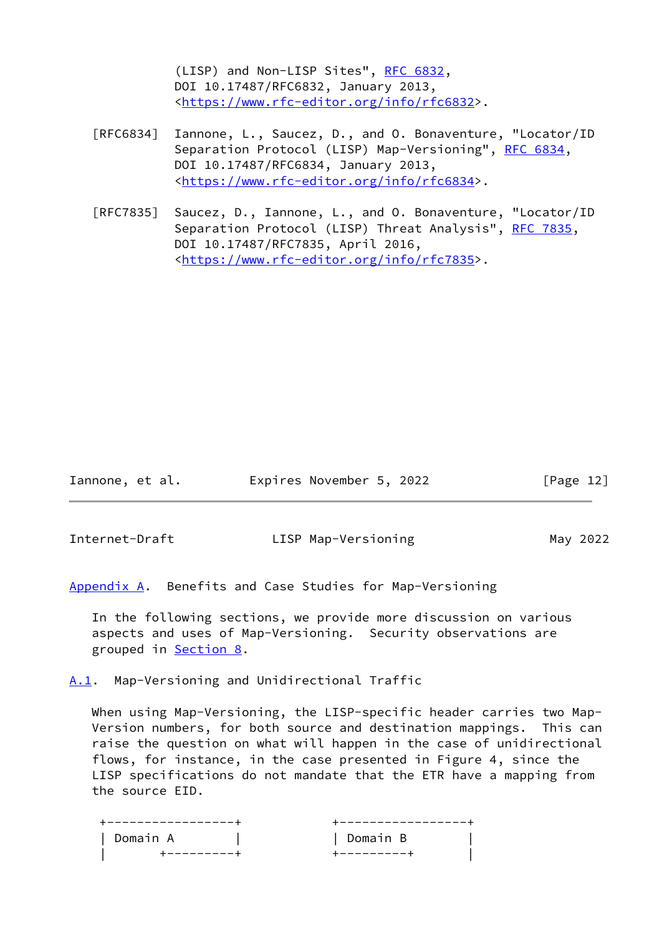(LISP) and Non-LISP Sites", [RFC 6832,](https://datatracker.ietf.org/doc/pdf/rfc6832) DOI 10.17487/RFC6832, January 2013, <[https://www.rfc-editor.org/info/rfc6832>](https://www.rfc-editor.org/info/rfc6832).

- [RFC6834] Iannone, L., Saucez, D., and O. Bonaventure, "Locator/ID Separation Protocol (LISP) Map-Versioning", [RFC 6834,](https://datatracker.ietf.org/doc/pdf/rfc6834) DOI 10.17487/RFC6834, January 2013, <[https://www.rfc-editor.org/info/rfc6834>](https://www.rfc-editor.org/info/rfc6834).
- [RFC7835] Saucez, D., Iannone, L., and O. Bonaventure, "Locator/ID Separation Protocol (LISP) Threat Analysis", [RFC 7835](https://datatracker.ietf.org/doc/pdf/rfc7835), DOI 10.17487/RFC7835, April 2016, <[https://www.rfc-editor.org/info/rfc7835>](https://www.rfc-editor.org/info/rfc7835).

Iannone, et al. Expires November 5, 2022 [Page 12]

<span id="page-13-1"></span>

Internet-Draft LISP Map-Versioning May 2022

<span id="page-13-0"></span>[Appendix A.](#page-13-0) Benefits and Case Studies for Map-Versioning

 In the following sections, we provide more discussion on various aspects and uses of Map-Versioning. Security observations are grouped in **Section 8**.

<span id="page-13-2"></span>[A.1](#page-13-2). Map-Versioning and Unidirectional Traffic

When using Map-Versioning, the LISP-specific header carries two Map- Version numbers, for both source and destination mappings. This can raise the question on what will happen in the case of unidirectional flows, for instance, in the case presented in Figure 4, since the LISP specifications do not mandate that the ETR have a mapping from the source EID.

 +-----------------+ +-----------------+ | Domain A | | Domain B | | +---------+ +---------+ |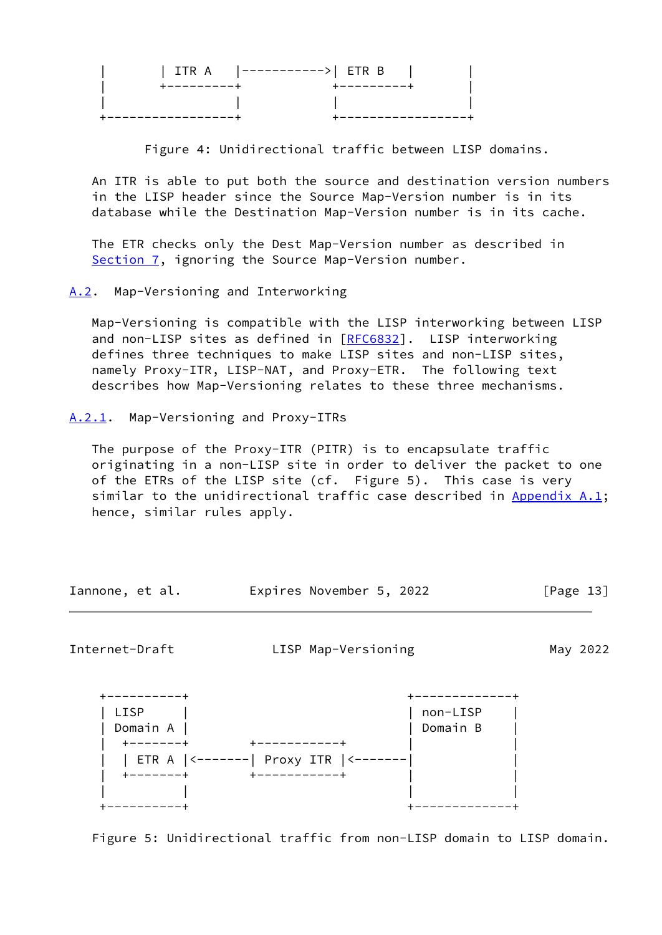|             | ITR A $ ------> $ ETR B |  |
|-------------|-------------------------|--|
| +---------+ | +---------+             |  |
|             |                         |  |
|             |                         |  |

Figure 4: Unidirectional traffic between LISP domains.

 An ITR is able to put both the source and destination version numbers in the LISP header since the Source Map-Version number is in its database while the Destination Map-Version number is in its cache.

 The ETR checks only the Dest Map-Version number as described in [Section 7](#page-7-0), ignoring the Source Map-Version number.

<span id="page-14-0"></span>[A.2](#page-14-0). Map-Versioning and Interworking

 Map-Versioning is compatible with the LISP interworking between LISP and non-LISP sites as defined in [\[RFC6832](https://datatracker.ietf.org/doc/pdf/rfc6832)]. LISP interworking defines three techniques to make LISP sites and non-LISP sites, namely Proxy-ITR, LISP-NAT, and Proxy-ETR. The following text describes how Map-Versioning relates to these three mechanisms.

<span id="page-14-1"></span>[A.2.1](#page-14-1). Map-Versioning and Proxy-ITRs

 The purpose of the Proxy-ITR (PITR) is to encapsulate traffic originating in a non-LISP site in order to deliver the packet to one of the ETRs of the LISP site (cf. Figure 5). This case is very similar to the unidirectional traffic case described in [Appendix A.1](#page-13-2); hence, similar rules apply.

| Iannone, et al. |  | Expires November 5, 2022 |  |  | [Page 13] |  |
|-----------------|--|--------------------------|--|--|-----------|--|
|-----------------|--|--------------------------|--|--|-----------|--|

<span id="page-14-2"></span>Internet-Draft LISP Map-Versioning May 2022



Figure 5: Unidirectional traffic from non-LISP domain to LISP domain.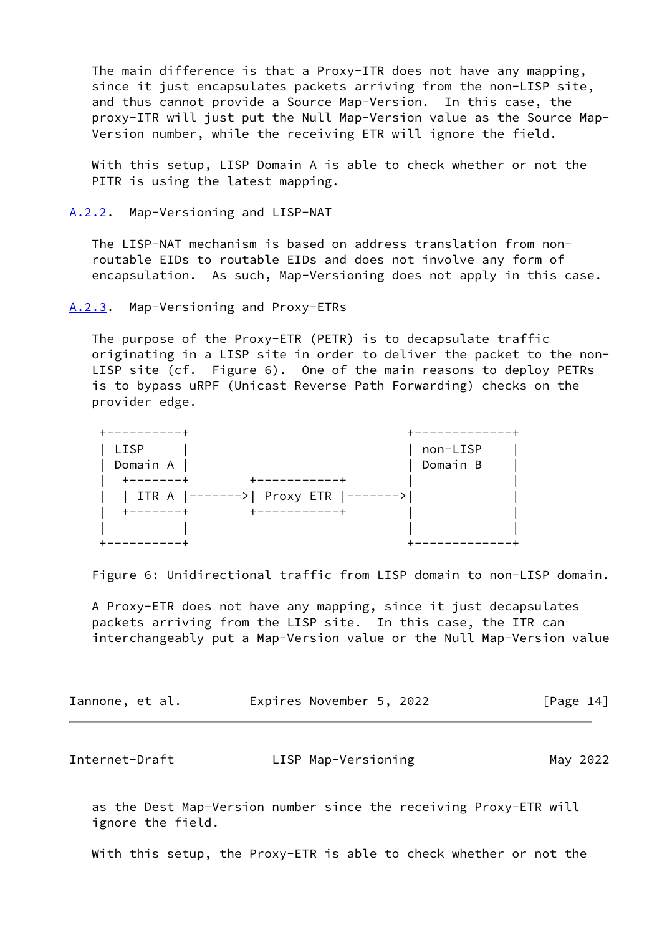The main difference is that a Proxy-ITR does not have any mapping, since it just encapsulates packets arriving from the non-LISP site, and thus cannot provide a Source Map-Version. In this case, the proxy-ITR will just put the Null Map-Version value as the Source Map- Version number, while the receiving ETR will ignore the field.

 With this setup, LISP Domain A is able to check whether or not the PITR is using the latest mapping.

<span id="page-15-0"></span>[A.2.2](#page-15-0). Map-Versioning and LISP-NAT

 The LISP-NAT mechanism is based on address translation from non routable EIDs to routable EIDs and does not involve any form of encapsulation. As such, Map-Versioning does not apply in this case.

<span id="page-15-1"></span>[A.2.3](#page-15-1). Map-Versioning and Proxy-ETRs

 The purpose of the Proxy-ETR (PETR) is to decapsulate traffic originating in a LISP site in order to deliver the packet to the non- LISP site (cf. Figure 6). One of the main reasons to deploy PETRs is to bypass uRPF (Unicast Reverse Path Forwarding) checks on the provider edge.

| LISP                                 | non-LISP |  |
|--------------------------------------|----------|--|
| Domain A                             | Domain B |  |
| ------                               |          |  |
| ITR A  ------->  Proxy ETR  -------> |          |  |
| ------                               |          |  |
|                                      |          |  |
|                                      |          |  |

Figure 6: Unidirectional traffic from LISP domain to non-LISP domain.

 A Proxy-ETR does not have any mapping, since it just decapsulates packets arriving from the LISP site. In this case, the ITR can interchangeably put a Map-Version value or the Null Map-Version value

| Iannone, et al. |  |  | Expires November 5, 2022 |  |  | [Page 14] |  |
|-----------------|--|--|--------------------------|--|--|-----------|--|
|-----------------|--|--|--------------------------|--|--|-----------|--|

<span id="page-15-2"></span>Internet-Draft **LISP Map-Versioning May 2022** 

 as the Dest Map-Version number since the receiving Proxy-ETR will ignore the field.

With this setup, the Proxy-ETR is able to check whether or not the